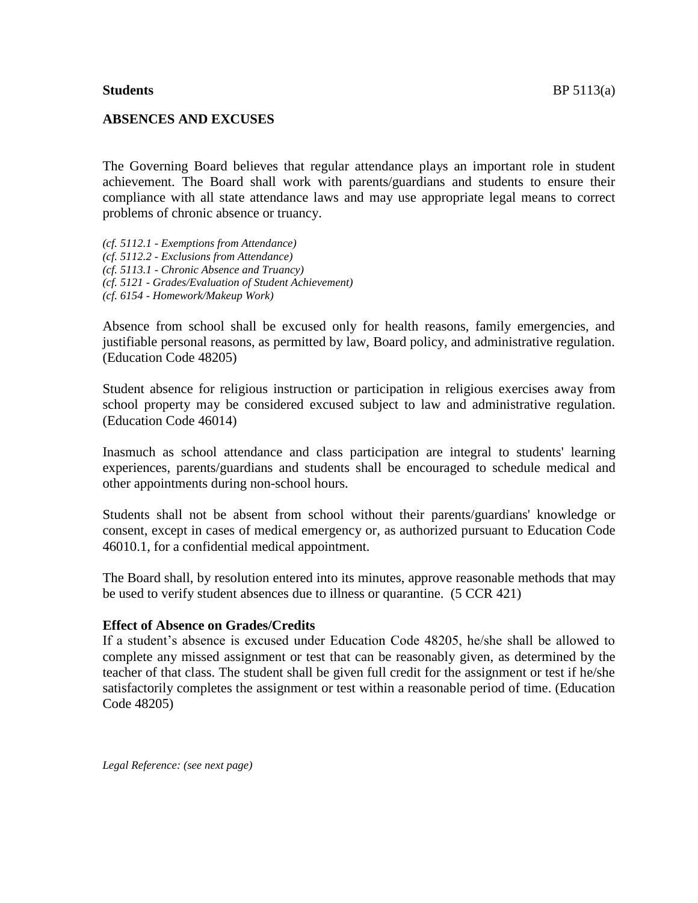#### **ABSENCES AND EXCUSES**

The Governing Board believes that regular attendance plays an important role in student achievement. The Board shall work with parents/guardians and students to ensure their compliance with all state attendance laws and may use appropriate legal means to correct problems of chronic absence or truancy.

*(cf. 5112.1 - Exemptions from Attendance) (cf. 5112.2 - Exclusions from Attendance) (cf. 5113.1 - Chronic Absence and Truancy) (cf. 5121 - Grades/Evaluation of Student Achievement) (cf. 6154 - Homework/Makeup Work)*

Absence from school shall be excused only for health reasons, family emergencies, and justifiable personal reasons, as permitted by law, Board policy, and administrative regulation. (Education Code 48205)

Student absence for religious instruction or participation in religious exercises away from school property may be considered excused subject to law and administrative regulation. (Education Code 46014)

Inasmuch as school attendance and class participation are integral to students' learning experiences, parents/guardians and students shall be encouraged to schedule medical and other appointments during non-school hours.

Students shall not be absent from school without their parents/guardians' knowledge or consent, except in cases of medical emergency or, as authorized pursuant to Education Code 46010.1, for a confidential medical appointment.

The Board shall, by resolution entered into its minutes, approve reasonable methods that may be used to verify student absences due to illness or quarantine. (5 CCR 421)

#### **Effect of Absence on Grades/Credits**

If a student's absence is excused under Education Code 48205, he/she shall be allowed to complete any missed assignment or test that can be reasonably given, as determined by the teacher of that class. The student shall be given full credit for the assignment or test if he/she satisfactorily completes the assignment or test within a reasonable period of time. (Education Code 48205)

*Legal Reference: (see next page)*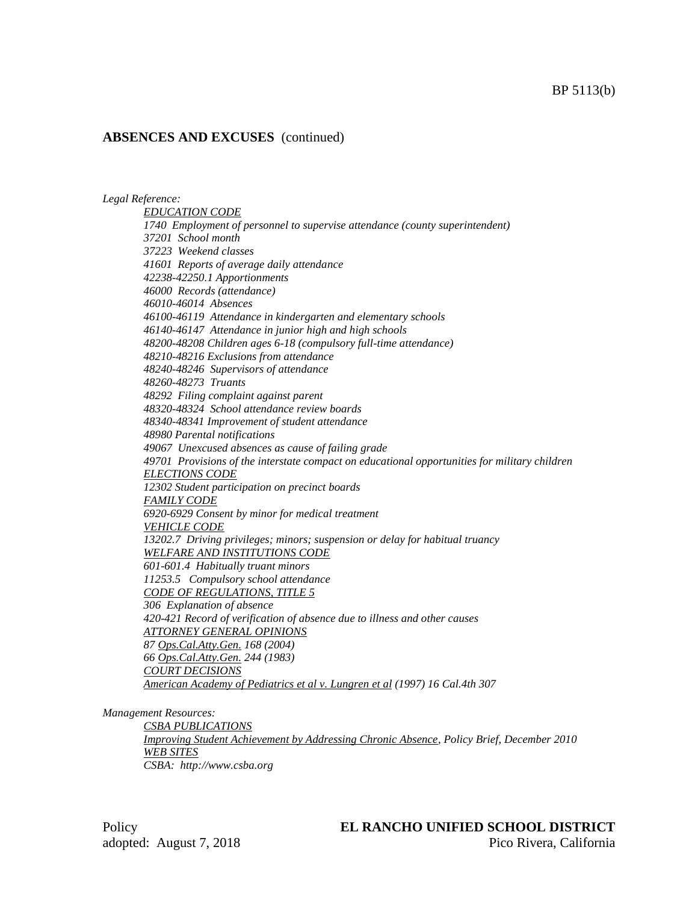#### *Legal Reference:*

*EDUCATION CODE 1740 Employment of personnel to supervise attendance (county superintendent) 37201 School month 37223 Weekend classes 41601 Reports of average daily attendance 42238-42250.1 Apportionments 46000 Records (attendance) 46010-46014 Absences 46100-46119 Attendance in kindergarten and elementary schools 46140-46147 Attendance in junior high and high schools 48200-48208 Children ages 6-18 (compulsory full-time attendance) 48210-48216 Exclusions from attendance 48240-48246 Supervisors of attendance 48260-48273 Truants 48292 Filing complaint against parent 48320-48324 School attendance review boards 48340-48341 Improvement of student attendance 48980 Parental notifications 49067 Unexcused absences as cause of failing grade 49701 Provisions of the interstate compact on educational opportunities for military children ELECTIONS CODE 12302 Student participation on precinct boards FAMILY CODE 6920-6929 Consent by minor for medical treatment VEHICLE CODE 13202.7 Driving privileges; minors; suspension or delay for habitual truancy WELFARE AND INSTITUTIONS CODE 601-601.4 Habitually truant minors 11253.5 Compulsory school attendance CODE OF REGULATIONS, TITLE 5 306 Explanation of absence 420-421 Record of verification of absence due to illness and other causes ATTORNEY GENERAL OPINIONS 87 Ops.Cal.Atty.Gen. 168 (2004) 66 Ops.Cal.Atty.Gen. 244 (1983) COURT DECISIONS American Academy of Pediatrics et al v. Lungren et al (1997) 16 Cal.4th 307*

*Management Resources:*

*CSBA PUBLICATIONS Improving Student Achievement by Addressing Chronic Absence, Policy Brief, December 2010 WEB SITES CSBA: http://www.csba.org*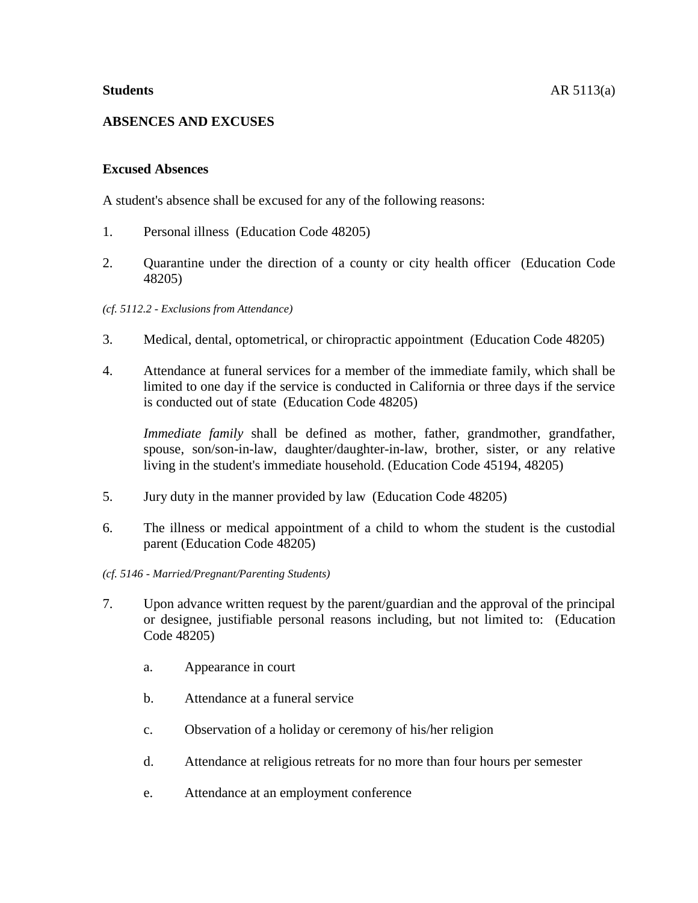# **Excused Absences**

A student's absence shall be excused for any of the following reasons:

- 1. Personal illness (Education Code 48205)
- 2. Quarantine under the direction of a county or city health officer (Education Code 48205)

# *(cf. 5112.2 - Exclusions from Attendance)*

- 3. Medical, dental, optometrical, or chiropractic appointment (Education Code 48205)
- 4. Attendance at funeral services for a member of the immediate family, which shall be limited to one day if the service is conducted in California or three days if the service is conducted out of state (Education Code 48205)

*Immediate family* shall be defined as mother, father, grandmother, grandfather, spouse, son/son-in-law, daughter/daughter-in-law, brother, sister, or any relative living in the student's immediate household. (Education Code 45194, 48205)

- 5. Jury duty in the manner provided by law (Education Code 48205)
- 6. The illness or medical appointment of a child to whom the student is the custodial parent (Education Code 48205)
- *(cf. 5146 - Married/Pregnant/Parenting Students)*
- 7. Upon advance written request by the parent/guardian and the approval of the principal or designee, justifiable personal reasons including, but not limited to: (Education Code 48205)
	- a. Appearance in court
	- b. Attendance at a funeral service
	- c. Observation of a holiday or ceremony of his/her religion
	- d. Attendance at religious retreats for no more than four hours per semester
	- e. Attendance at an employment conference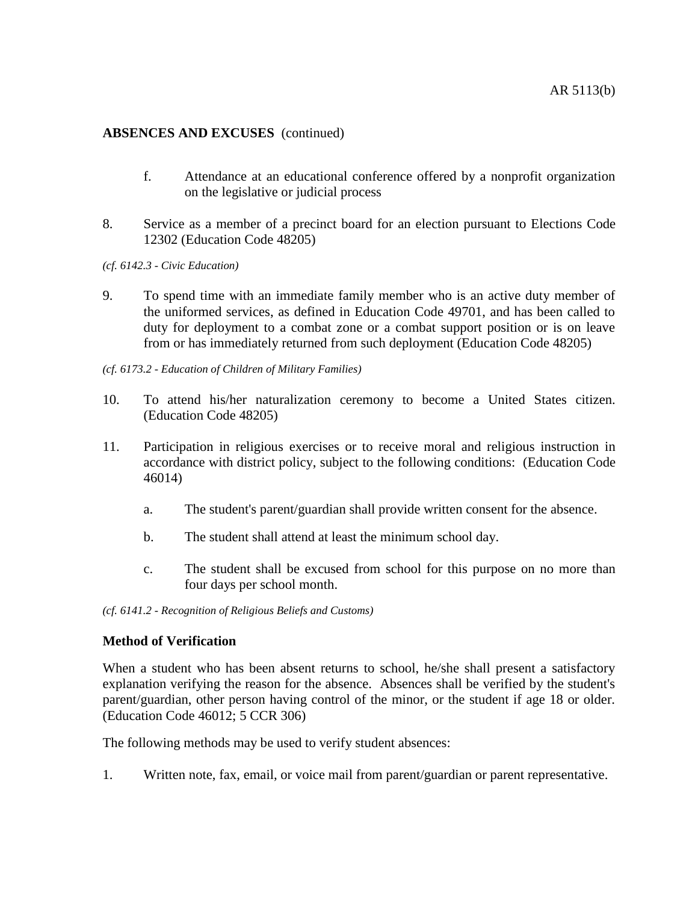- f. Attendance at an educational conference offered by a nonprofit organization on the legislative or judicial process
- 8. Service as a member of a precinct board for an election pursuant to Elections Code 12302 (Education Code 48205)
- *(cf. 6142.3 - Civic Education)*
- 9. To spend time with an immediate family member who is an active duty member of the uniformed services, as defined in Education Code 49701, and has been called to duty for deployment to a combat zone or a combat support position or is on leave from or has immediately returned from such deployment (Education Code 48205)
- *(cf. 6173.2 - Education of Children of Military Families)*
- 10. To attend his/her naturalization ceremony to become a United States citizen. (Education Code 48205)
- 11. Participation in religious exercises or to receive moral and religious instruction in accordance with district policy, subject to the following conditions: (Education Code 46014)
	- a. The student's parent/guardian shall provide written consent for the absence.
	- b. The student shall attend at least the minimum school day.
	- c. The student shall be excused from school for this purpose on no more than four days per school month.

*(cf. 6141.2 - Recognition of Religious Beliefs and Customs)*

#### **Method of Verification**

When a student who has been absent returns to school, he/she shall present a satisfactory explanation verifying the reason for the absence. Absences shall be verified by the student's parent/guardian, other person having control of the minor, or the student if age 18 or older. (Education Code 46012; 5 CCR 306)

The following methods may be used to verify student absences:

1. Written note, fax, email, or voice mail from parent/guardian or parent representative.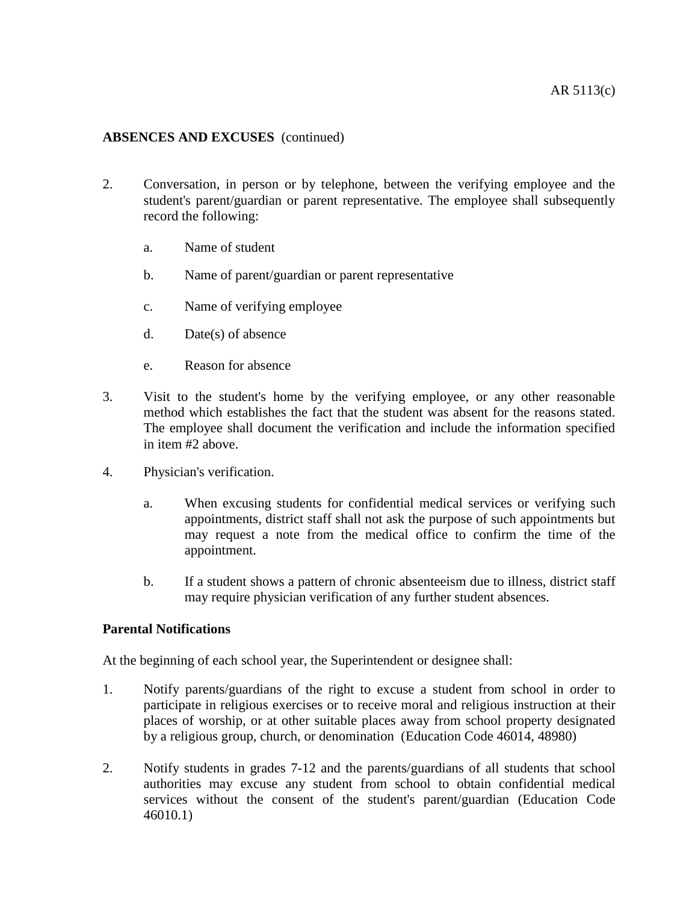- 2. Conversation, in person or by telephone, between the verifying employee and the student's parent/guardian or parent representative. The employee shall subsequently record the following:
	- a. Name of student
	- b. Name of parent/guardian or parent representative
	- c. Name of verifying employee
	- d. Date(s) of absence
	- e. Reason for absence
- 3. Visit to the student's home by the verifying employee, or any other reasonable method which establishes the fact that the student was absent for the reasons stated. The employee shall document the verification and include the information specified in item #2 above.
- 4. Physician's verification.
	- a. When excusing students for confidential medical services or verifying such appointments, district staff shall not ask the purpose of such appointments but may request a note from the medical office to confirm the time of the appointment.
	- b. If a student shows a pattern of chronic absenteeism due to illness, district staff may require physician verification of any further student absences.

# **Parental Notifications**

At the beginning of each school year, the Superintendent or designee shall:

- 1. Notify parents/guardians of the right to excuse a student from school in order to participate in religious exercises or to receive moral and religious instruction at their places of worship, or at other suitable places away from school property designated by a religious group, church, or denomination (Education Code 46014, 48980)
- 2. Notify students in grades 7-12 and the parents/guardians of all students that school authorities may excuse any student from school to obtain confidential medical services without the consent of the student's parent/guardian (Education Code 46010.1)